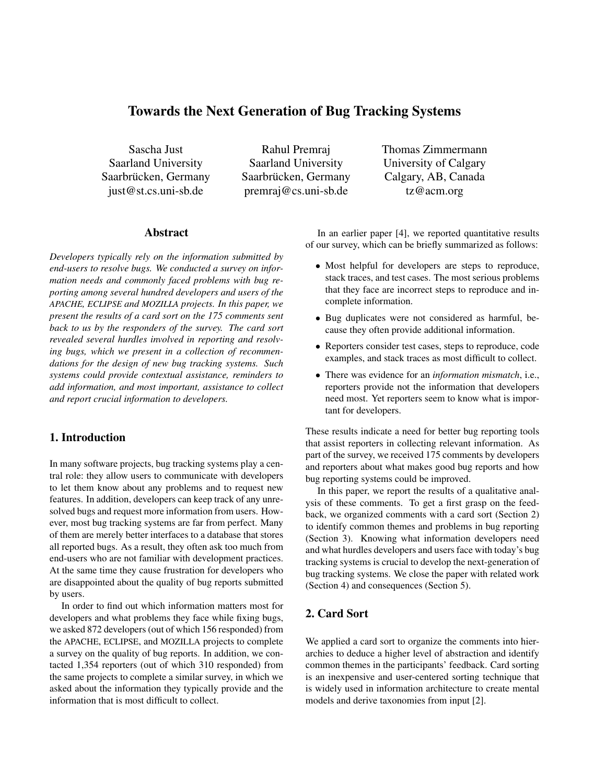# Towards the Next Generation of Bug Tracking Systems

Sascha Just Saarland University Saarbrücken, Germany just@st.cs.uni-sb.de

Rahul Premraj Saarland University Saarbrücken, Germany premraj@cs.uni-sb.de

Thomas Zimmermann University of Calgary Calgary, AB, Canada tz@acm.org

#### Abstract

*Developers typically rely on the information submitted by end-users to resolve bugs. We conducted a survey on information needs and commonly faced problems with bug reporting among several hundred developers and users of the APACHE, ECLIPSE and MOZILLA projects. In this paper, we present the results of a card sort on the 175 comments sent back to us by the responders of the survey. The card sort revealed several hurdles involved in reporting and resolving bugs, which we present in a collection of recommendations for the design of new bug tracking systems. Such systems could provide contextual assistance, reminders to add information, and most important, assistance to collect and report crucial information to developers.*

## 1. Introduction

In many software projects, bug tracking systems play a central role: they allow users to communicate with developers to let them know about any problems and to request new features. In addition, developers can keep track of any unresolved bugs and request more information from users. However, most bug tracking systems are far from perfect. Many of them are merely better interfaces to a database that stores all reported bugs. As a result, they often ask too much from end-users who are not familiar with development practices. At the same time they cause frustration for developers who are disappointed about the quality of bug reports submitted by users.

In order to find out which information matters most for developers and what problems they face while fixing bugs, we asked 872 developers (out of which 156 responded) from the APACHE, ECLIPSE, and MOZILLA projects to complete a survey on the quality of bug reports. In addition, we contacted 1,354 reporters (out of which 310 responded) from the same projects to complete a similar survey, in which we asked about the information they typically provide and the information that is most difficult to collect.

In an earlier paper [4], we reported quantitative results of our survey, which can be briefly summarized as follows:

- Most helpful for developers are steps to reproduce, stack traces, and test cases. The most serious problems that they face are incorrect steps to reproduce and incomplete information.
- Bug duplicates were not considered as harmful, because they often provide additional information.
- Reporters consider test cases, steps to reproduce, code examples, and stack traces as most difficult to collect.
- There was evidence for an *information mismatch*, i.e., reporters provide not the information that developers need most. Yet reporters seem to know what is important for developers.

These results indicate a need for better bug reporting tools that assist reporters in collecting relevant information. As part of the survey, we received 175 comments by developers and reporters about what makes good bug reports and how bug reporting systems could be improved.

In this paper, we report the results of a qualitative analysis of these comments. To get a first grasp on the feedback, we organized comments with a card sort (Section 2) to identify common themes and problems in bug reporting (Section 3). Knowing what information developers need and what hurdles developers and users face with today's bug tracking systems is crucial to develop the next-generation of bug tracking systems. We close the paper with related work (Section 4) and consequences (Section 5).

## 2. Card Sort

We applied a card sort to organize the comments into hierarchies to deduce a higher level of abstraction and identify common themes in the participants' feedback. Card sorting is an inexpensive and user-centered sorting technique that is widely used in information architecture to create mental models and derive taxonomies from input [2].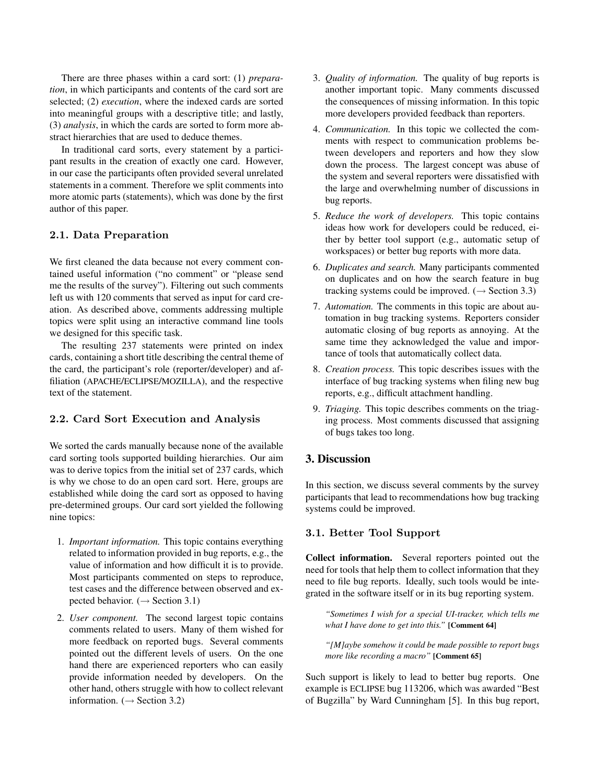There are three phases within a card sort: (1) *preparation*, in which participants and contents of the card sort are selected; (2) *execution*, where the indexed cards are sorted into meaningful groups with a descriptive title; and lastly, (3) *analysis*, in which the cards are sorted to form more abstract hierarchies that are used to deduce themes.

In traditional card sorts, every statement by a participant results in the creation of exactly one card. However, in our case the participants often provided several unrelated statements in a comment. Therefore we split comments into more atomic parts (statements), which was done by the first author of this paper.

#### 2.1. Data Preparation

We first cleaned the data because not every comment contained useful information ("no comment" or "please send me the results of the survey"). Filtering out such comments left us with 120 comments that served as input for card creation. As described above, comments addressing multiple topics were split using an interactive command line tools we designed for this specific task.

The resulting 237 statements were printed on index cards, containing a short title describing the central theme of the card, the participant's role (reporter/developer) and affiliation (APACHE/ECLIPSE/MOZILLA), and the respective text of the statement.

#### 2.2. Card Sort Execution and Analysis

We sorted the cards manually because none of the available card sorting tools supported building hierarchies. Our aim was to derive topics from the initial set of 237 cards, which is why we chose to do an open card sort. Here, groups are established while doing the card sort as opposed to having pre-determined groups. Our card sort yielded the following nine topics:

- 1. *Important information.* This topic contains everything related to information provided in bug reports, e.g., the value of information and how difficult it is to provide. Most participants commented on steps to reproduce, test cases and the difference between observed and expected behavior.  $(\rightarrow$  Section 3.1)
- 2. *User component.* The second largest topic contains comments related to users. Many of them wished for more feedback on reported bugs. Several comments pointed out the different levels of users. On the one hand there are experienced reporters who can easily provide information needed by developers. On the other hand, others struggle with how to collect relevant information.  $(\rightarrow$  Section 3.2)
- 3. *Quality of information.* The quality of bug reports is another important topic. Many comments discussed the consequences of missing information. In this topic more developers provided feedback than reporters.
- 4. *Communication.* In this topic we collected the comments with respect to communication problems between developers and reporters and how they slow down the process. The largest concept was abuse of the system and several reporters were dissatisfied with the large and overwhelming number of discussions in bug reports.
- 5. *Reduce the work of developers.* This topic contains ideas how work for developers could be reduced, either by better tool support (e.g., automatic setup of workspaces) or better bug reports with more data.
- 6. *Duplicates and search.* Many participants commented on duplicates and on how the search feature in bug tracking systems could be improved.  $(\rightarrow$  Section 3.3)
- 7. *Automation.* The comments in this topic are about automation in bug tracking systems. Reporters consider automatic closing of bug reports as annoying. At the same time they acknowledged the value and importance of tools that automatically collect data.
- 8. *Creation process.* This topic describes issues with the interface of bug tracking systems when filing new bug reports, e.g., difficult attachment handling.
- 9. *Triaging.* This topic describes comments on the triaging process. Most comments discussed that assigning of bugs takes too long.

## 3. Discussion

In this section, we discuss several comments by the survey participants that lead to recommendations how bug tracking systems could be improved.

### 3.1. Better Tool Support

Collect information. Several reporters pointed out the need for tools that help them to collect information that they need to file bug reports. Ideally, such tools would be integrated in the software itself or in its bug reporting system.

*"Sometimes I wish for a special UI-tracker, which tells me what I have done to get into this."* [Comment 64]

*"[M]aybe somehow it could be made possible to report bugs more like recording a macro"* [Comment 65]

Such support is likely to lead to better bug reports. One example is ECLIPSE bug 113206, which was awarded "Best of Bugzilla" by Ward Cunningham [5]. In this bug report,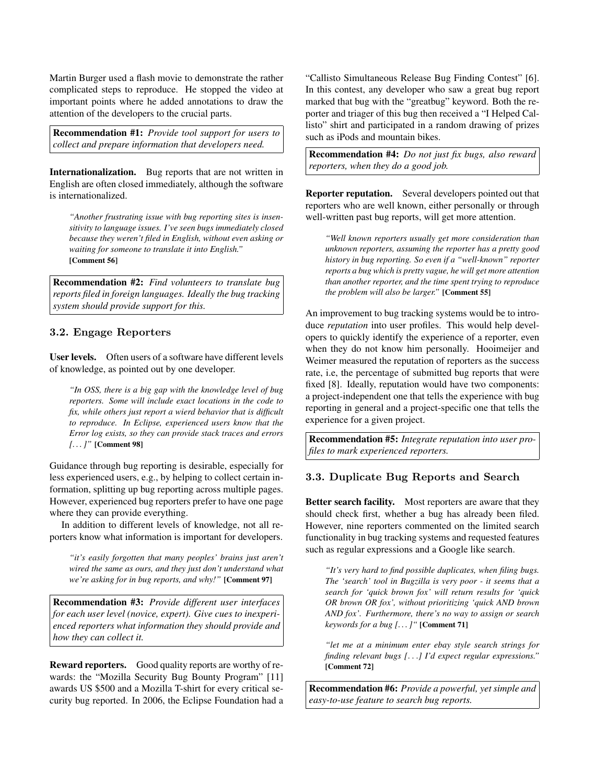Martin Burger used a flash movie to demonstrate the rather complicated steps to reproduce. He stopped the video at important points where he added annotations to draw the attention of the developers to the crucial parts.

Recommendation #1: *Provide tool support for users to collect and prepare information that developers need.*

Internationalization. Bug reports that are not written in English are often closed immediately, although the software is internationalized.

*"Another frustrating issue with bug reporting sites is insensitivity to language issues. I've seen bugs immediately closed because they weren't filed in English, without even asking or waiting for someone to translate it into English."* [Comment 56]

Recommendation #2: *Find volunteers to translate bug reports filed in foreign languages. Ideally the bug tracking system should provide support for this.*

### 3.2. Engage Reporters

User levels. Often users of a software have different levels of knowledge, as pointed out by one developer.

*"In OSS, there is a big gap with the knowledge level of bug reporters. Some will include exact locations in the code to fix, while others just report a wierd behavior that is difficult to reproduce. In Eclipse, experienced users know that the Error log exists, so they can provide stack traces and errors [. . . ]"* [Comment 98]

Guidance through bug reporting is desirable, especially for less experienced users, e.g., by helping to collect certain information, splitting up bug reporting across multiple pages. However, experienced bug reporters prefer to have one page where they can provide everything.

In addition to different levels of knowledge, not all reporters know what information is important for developers.

*"it's easily forgotten that many peoples' brains just aren't wired the same as ours, and they just don't understand what we're asking for in bug reports, and why!"* [Comment 97]

Recommendation #3: *Provide different user interfaces for each user level (novice, expert). Give cues to inexperienced reporters what information they should provide and how they can collect it.*

Reward reporters. Good quality reports are worthy of rewards: the "Mozilla Security Bug Bounty Program" [11] awards US \$500 and a Mozilla T-shirt for every critical security bug reported. In 2006, the Eclipse Foundation had a "Callisto Simultaneous Release Bug Finding Contest" [6]. In this contest, any developer who saw a great bug report marked that bug with the "greatbug" keyword. Both the reporter and triager of this bug then received a "I Helped Callisto" shirt and participated in a random drawing of prizes such as iPods and mountain bikes.

Recommendation #4: *Do not just fix bugs, also reward reporters, when they do a good job.*

Reporter reputation. Several developers pointed out that reporters who are well known, either personally or through well-written past bug reports, will get more attention.

*"Well known reporters usually get more consideration than unknown reporters, assuming the reporter has a pretty good history in bug reporting. So even if a "well-known" reporter reports a bug which is pretty vague, he will get more attention than another reporter, and the time spent trying to reproduce the problem will also be larger."* [Comment 55]

An improvement to bug tracking systems would be to introduce *reputation* into user profiles. This would help developers to quickly identify the experience of a reporter, even when they do not know him personally. Hooimeijer and Weimer measured the reputation of reporters as the success rate, i.e, the percentage of submitted bug reports that were fixed [8]. Ideally, reputation would have two components: a project-independent one that tells the experience with bug reporting in general and a project-specific one that tells the experience for a given project.

Recommendation #5: *Integrate reputation into user profiles to mark experienced reporters.*

### 3.3. Duplicate Bug Reports and Search

Better search facility. Most reporters are aware that they should check first, whether a bug has already been filed. However, nine reporters commented on the limited search functionality in bug tracking systems and requested features such as regular expressions and a Google like search.

*"It's very hard to find possible duplicates, when filing bugs. The 'search' tool in Bugzilla is very poor - it seems that a search for 'quick brown fox' will return results for 'quick OR brown OR fox', without prioritizing 'quick AND brown AND fox'. Furthermore, there's no way to assign or search keywords for a bug [. . . ]"* [Comment 71]

*"let me at a minimum enter ebay style search strings for finding relevant bugs [*. . .*] I'd expect regular expressions."* [Comment 72]

Recommendation #6: *Provide a powerful, yet simple and easy-to-use feature to search bug reports.*